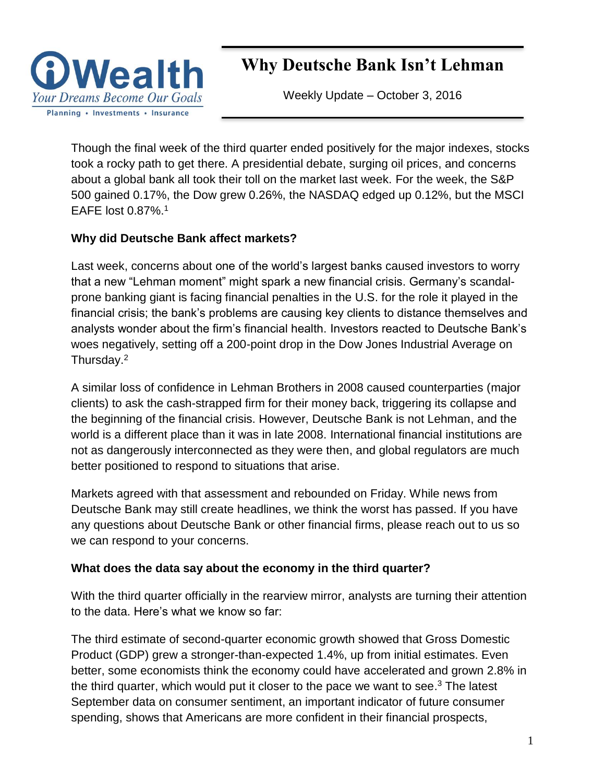

# Why Deutsche Bank Isn't Lehman

Weekly Update – October 3, 2016

Though the final week of the third quarter ended positively for the major indexes, stocks took a rocky path to get there. A presidential debate, surging oil prices, and concerns about a global bank all took their toll on the market last week. For the week, the S&P 500 gained 0.17%, the Dow grew 0.26%, the NASDAQ edged up 0.12%, but the MSCI EAFE lost  $0.87\%$ <sup>1</sup>

## **Why did Deutsche Bank affect markets?**

Last week, concerns about one of the world's largest banks caused investors to worry that a new "Lehman moment" might spark a new financial crisis. Germany's scandalprone banking giant is facing financial penalties in the U.S. for the role it played in the financial crisis; the bank's problems are causing key clients to distance themselves and analysts wonder about the firm's financial health. Investors reacted to Deutsche Bank's woes negatively, setting off a 200-point drop in the Dow Jones Industrial Average on Thursday.<sup>2</sup>

A similar loss of confidence in Lehman Brothers in 2008 caused counterparties (major clients) to ask the cash-strapped firm for their money back, triggering its collapse and the beginning of the financial crisis. However, Deutsche Bank is not Lehman, and the world is a different place than it was in late 2008. International financial institutions are not as dangerously interconnected as they were then, and global regulators are much better positioned to respond to situations that arise.

Markets agreed with that assessment and rebounded on Friday. While news from Deutsche Bank may still create headlines, we think the worst has passed. If you have any questions about Deutsche Bank or other financial firms, please reach out to us so we can respond to your concerns.

## **What does the data say about the economy in the third quarter?**

With the third quarter officially in the rearview mirror, analysts are turning their attention to the data. Here's what we know so far:

The third estimate of second-quarter economic growth showed that Gross Domestic Product (GDP) grew a stronger-than-expected 1.4%, up from initial estimates. Even better, some economists think the economy could have accelerated and grown 2.8% in the third quarter, which would put it closer to the pace we want to see.<sup>3</sup> The latest September data on consumer sentiment, an important indicator of future consumer spending, shows that Americans are more confident in their financial prospects,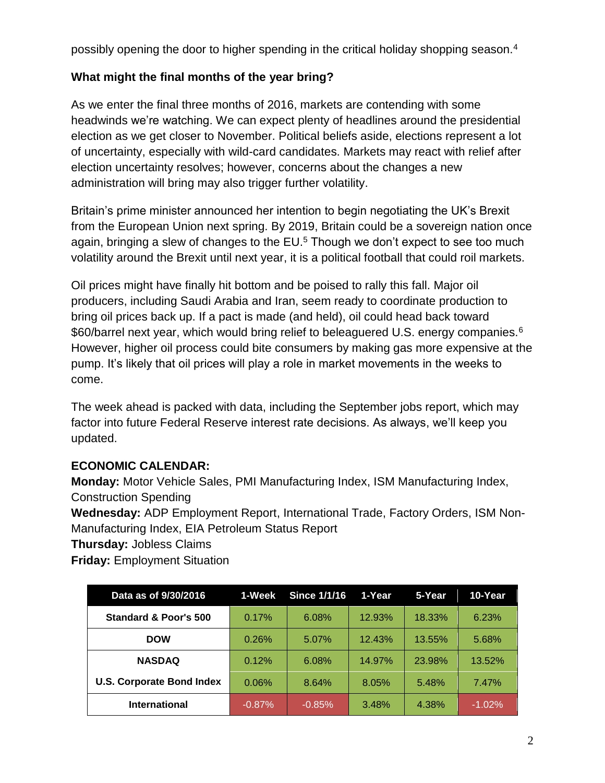possibly opening the door to higher spending in the critical holidav shopping season.<sup>4</sup>

# **What might the final months of the year bring?**

As we enter the final three months of 2016, markets are contending with some headwinds we're watching. We can expect plenty of headlines around the presidential election as we get closer to November. Political beliefs aside, elections represent a lot of uncertainty, especially with wild-card candidates. Markets may react with relief after election uncertainty resolves; however, concerns about the changes a new administration will bring may also trigger further volatility.

Britain's prime minister announced her intention to begin negotiating the UK's Brexit from the European Union next spring. By 2019, Britain could be a sovereign nation once again, bringing a slew of changes to the  $EU<sup>5</sup>$ . Though we don't expect to see too much volatility around the Brexit until next year, it is a political football that could roil markets.

Oil prices might have finally hit bottom and be poised to rally this fall. Major oil producers, including Saudi Arabia and Iran, seem ready to coordinate production to bring oil prices back up. If a pact is made (and held), oil could head back toward \$60/barrel next year, which would bring relief to beleaguered U.S. energy companies.<sup>6</sup> However, higher oil process could bite consumers by making gas more expensive at the pump. It's likely that oil prices will play a role in market movements in the weeks to come.

The week ahead is packed with data, including the September jobs report, which may factor into future Federal Reserve interest rate decisions. As always, we'll keep you updated.

## **ECONOMIC CALENDAR:**

**Monday:** Motor Vehicle Sales, PMI Manufacturing Index, ISM Manufacturing Index, Construction Spending

**Wednesday:** ADP Employment Report, International Trade, Factory Orders, ISM Non-Manufacturing Index, EIA Petroleum Status Report

**Thursday:** Jobless Claims

**Friday:** Employment Situation

| Data as of 9/30/2016             | 1-Week   | <b>Since 1/1/16</b> | 1-Year | 5-Year | 10-Year  |
|----------------------------------|----------|---------------------|--------|--------|----------|
| <b>Standard &amp; Poor's 500</b> | 0.17%    | 6.08%               | 12.93% | 18.33% | 6.23%    |
| <b>DOW</b>                       | 0.26%    | 5.07%               | 12.43% | 13.55% | 5.68%    |
| <b>NASDAQ</b>                    | 0.12%    | 6.08%               | 14.97% | 23.98% | 13.52%   |
| <b>U.S. Corporate Bond Index</b> | 0.06%    | 8.64%               | 8.05%  | 5.48%  | 7.47%    |
| <b>International</b>             | $-0.87%$ | $-0.85%$            | 3.48%  | 4.38%  | $-1.02%$ |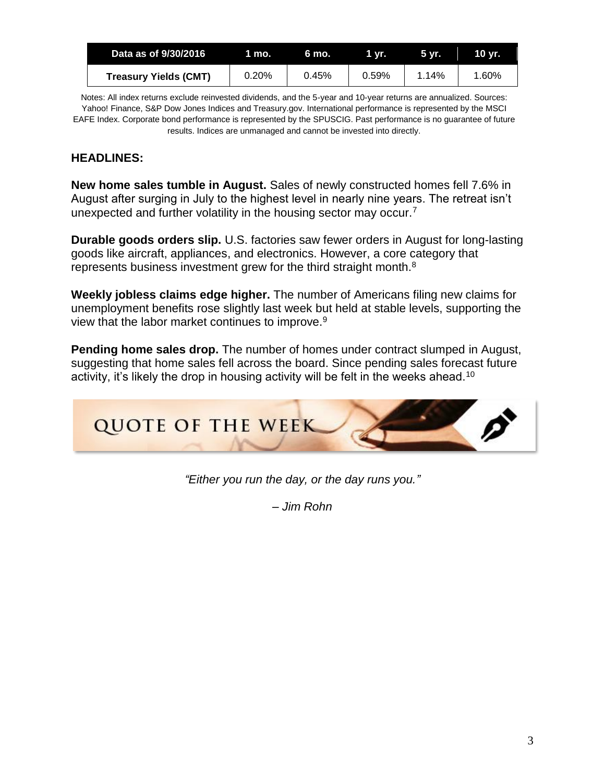| Data as of 9/30/2016         | <b>MITTO.</b> | 6 mo. | 1 vr. | 5 vr. | 10 vr. |
|------------------------------|---------------|-------|-------|-------|--------|
| <b>Treasury Yields (CMT)</b> | 0.20%         | 0.45% | 0.59% | 1.14% | 1.60%  |

Notes: All index returns exclude reinvested dividends, and the 5-year and 10-year returns are annualized. Sources: Yahoo! Finance, S&P Dow Jones Indices and Treasury.gov. International performance is represented by the MSCI EAFE Index. Corporate bond performance is represented by the SPUSCIG. Past performance is no guarantee of future results. Indices are unmanaged and cannot be invested into directly.

## **HEADLINES:**

**New home sales tumble in August.** Sales of newly constructed homes fell 7.6% in August after surging in July to the highest level in nearly nine years. The retreat isn't unexpected and further volatility in the housing sector may occur.<sup>7</sup>

**Durable goods orders slip.** U.S. factories saw fewer orders in August for long-lasting goods like aircraft, appliances, and electronics. However, a core category that represents business investment grew for the third straight month.<sup>8</sup>

**Weekly jobless claims edge higher.** The number of Americans filing new claims for unemployment benefits rose slightly last week but held at stable levels, supporting the view that the labor market continues to improve.<sup>9</sup>

**Pending home sales drop.** The number of homes under contract slumped in August, suggesting that home sales fell across the board. Since pending sales forecast future activity, it's likely the drop in housing activity will be felt in the weeks ahead.<sup>10</sup>



*"Either you run the day, or the day runs you."*

*– Jim Rohn*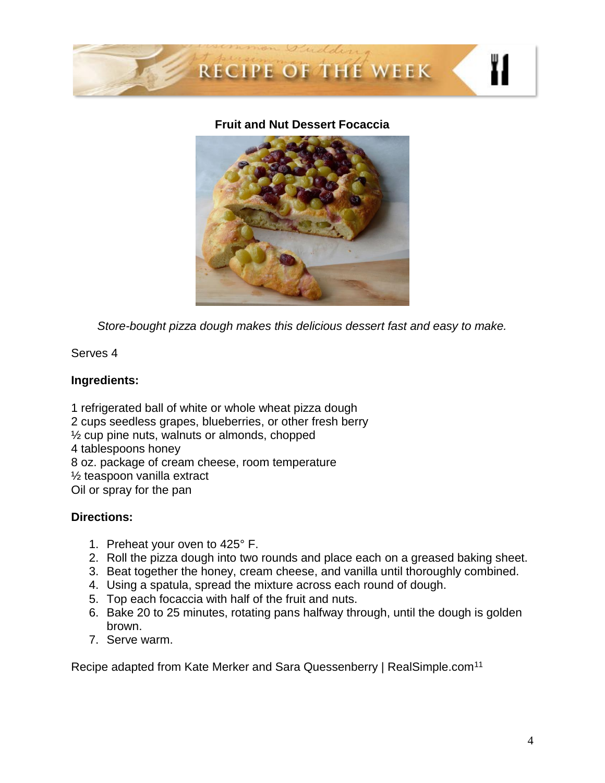

#### **Fruit and Nut Dessert Focaccia**



*Store-bought pizza dough makes this delicious dessert fast and easy to make.*

Serves 4

## **Ingredients:**

1 refrigerated ball of white or whole wheat pizza dough 2 cups seedless grapes, blueberries, or other fresh berry ½ cup pine nuts, walnuts or almonds, chopped 4 tablespoons honey 8 oz. package of cream cheese, room temperature ½ teaspoon vanilla extract Oil or spray for the pan

#### **Directions:**

- 1. Preheat your oven to 425° F.
- 2. Roll the pizza dough into two rounds and place each on a greased baking sheet.
- 3. Beat together the honey, cream cheese, and vanilla until thoroughly combined.
- 4. Using a spatula, spread the mixture across each round of dough.
- 5. Top each focaccia with half of the fruit and nuts.
- 6. Bake 20 to 25 minutes, rotating pans halfway through, until the dough is golden brown.
- 7. Serve warm.

Recipe adapted from Kate Merker and Sara Quessenberry | RealSimple.com<sup>11</sup>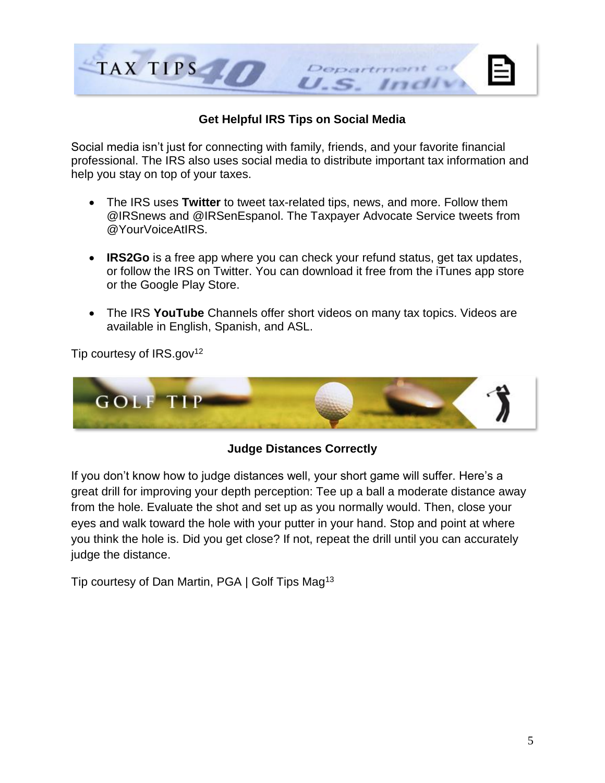

## **Get Helpful IRS Tips on Social Media**

Social media isn't just for connecting with family, friends, and your favorite financial professional. The IRS also uses social media to distribute important tax information and help you stay on top of your taxes.

- The IRS uses **Twitter** to tweet tax-related tips, news, and more. Follow them @IRSnews and @IRSenEspanol. The Taxpayer Advocate Service tweets from @YourVoiceAtIRS.
- **IRS2Go** is a free app where you can check your refund status, get tax updates, or follow the IRS on Twitter. You can download it free from the iTunes app store or the Google Play Store.
- The IRS **YouTube** Channels offer short videos on many tax topics. Videos are available in English, Spanish, and ASL.

Tip courtesy of  $IRS.gov<sup>12</sup>$ 



#### **Judge Distances Correctly**

If you don't know how to judge distances well, your short game will suffer. Here's a great drill for improving your depth perception: Tee up a ball a moderate distance away from the hole. Evaluate the shot and set up as you normally would. Then, close your eyes and walk toward the hole with your putter in your hand. Stop and point at where you think the hole is. Did you get close? If not, repeat the drill until you can accurately judge the distance.

Tip courtesy of Dan Martin, PGA | Golf Tips Mag<sup>13</sup>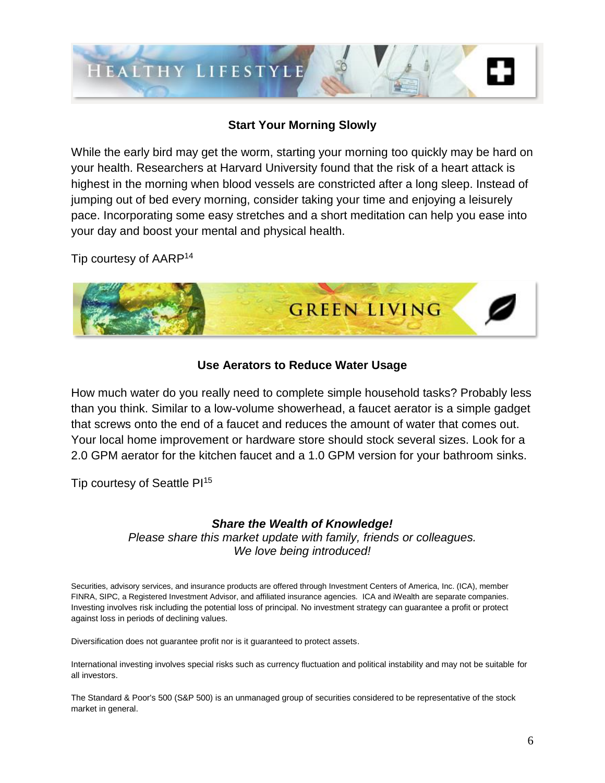

#### **Start Your Morning Slowly**

While the early bird may get the worm, starting your morning too quickly may be hard on your health. Researchers at Harvard University found that the risk of a heart attack is highest in the morning when blood vessels are constricted after a long sleep. Instead of jumping out of bed every morning, consider taking your time and enjoying a leisurely pace. Incorporating some easy stretches and a short meditation can help you ease into your day and boost your mental and physical health.

Tip courtesy of AARP<sup>14</sup>



#### **Use Aerators to Reduce Water Usage**

How much water do you really need to complete simple household tasks? Probably less than you think. Similar to a low-volume showerhead, a faucet aerator is a simple gadget that screws onto the end of a faucet and reduces the amount of water that comes out. Your local home improvement or hardware store should stock several sizes. Look for a 2.0 GPM aerator for the kitchen faucet and a 1.0 GPM version for your bathroom sinks.

Tip courtesy of Seattle PI<sup>15</sup>

#### *Share the Wealth of Knowledge!*

*Please share this market update with family, friends or colleagues. We love being introduced!*

Securities, advisory services, and insurance products are offered through Investment Centers of America, Inc. (ICA), member FINRA, SIPC, a Registered Investment Advisor, and affiliated insurance agencies. ICA and iWealth are separate companies. Investing involves risk including the potential loss of principal. No investment strategy can guarantee a profit or protect against loss in periods of declining values.

Diversification does not guarantee profit nor is it guaranteed to protect assets.

International investing involves special risks such as currency fluctuation and political instability and may not be suitable for all investors.

The Standard & Poor's 500 (S&P 500) is an unmanaged group of securities considered to be representative of the stock market in general.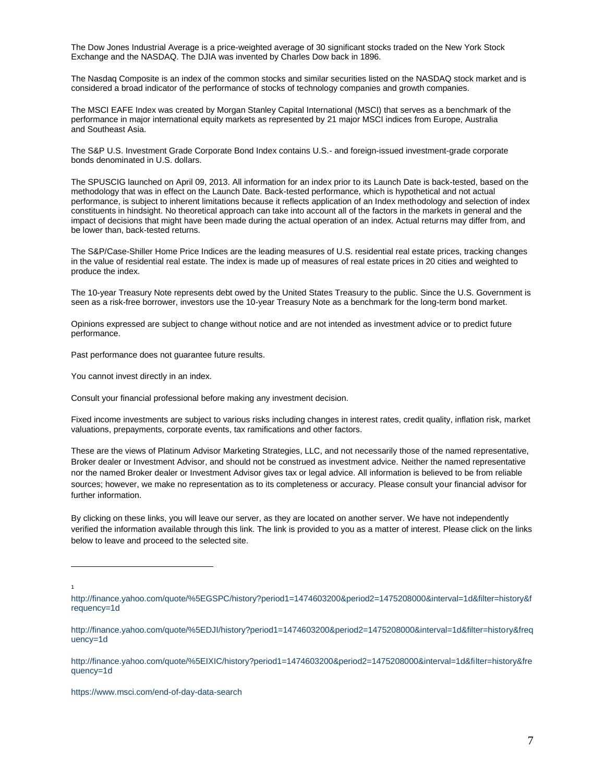The Dow Jones Industrial Average is a price-weighted average of 30 significant stocks traded on the New York Stock Exchange and the NASDAQ. The DJIA was invented by Charles Dow back in 1896.

The Nasdaq Composite is an index of the common stocks and similar securities listed on the NASDAQ stock market and is considered a broad indicator of the performance of stocks of technology companies and growth companies.

The MSCI EAFE Index was created by Morgan Stanley Capital International (MSCI) that serves as a benchmark of the performance in major international equity markets as represented by 21 major MSCI indices from Europe, Australia and Southeast Asia.

The S&P U.S. Investment Grade Corporate Bond Index contains U.S.- and foreign-issued investment-grade corporate bonds denominated in U.S. dollars.

The SPUSCIG launched on April 09, 2013. All information for an index prior to its Launch Date is back-tested, based on the methodology that was in effect on the Launch Date. Back-tested performance, which is hypothetical and not actual performance, is subject to inherent limitations because it reflects application of an Index methodology and selection of index constituents in hindsight. No theoretical approach can take into account all of the factors in the markets in general and the impact of decisions that might have been made during the actual operation of an index. Actual returns may differ from, and be lower than, back-tested returns.

The S&P/Case-Shiller Home Price Indices are the leading measures of U.S. residential real estate prices, tracking changes in the value of residential real estate. The index is made up of measures of real estate prices in 20 cities and weighted to produce the index.

The 10-year Treasury Note represents debt owed by the United States Treasury to the public. Since the U.S. Government is seen as a risk-free borrower, investors use the 10-year Treasury Note as a benchmark for the long-term bond market.

Opinions expressed are subject to change without notice and are not intended as investment advice or to predict future performance.

Past performance does not guarantee future results.

You cannot invest directly in an index.

Consult your financial professional before making any investment decision.

Fixed income investments are subject to various risks including changes in interest rates, credit quality, inflation risk, market valuations, prepayments, corporate events, tax ramifications and other factors.

These are the views of Platinum Advisor Marketing Strategies, LLC, and not necessarily those of the named representative, Broker dealer or Investment Advisor, and should not be construed as investment advice. Neither the named representative nor the named Broker dealer or Investment Advisor gives tax or legal advice. All information is believed to be from reliable sources; however, we make no representation as to its completeness or accuracy. Please consult your financial advisor for further information.

By clicking on these links, you will leave our server, as they are located on another server. We have not independently verified the information available through this link. The link is provided to you as a matter of interest. Please click on the links below to leave and proceed to the selected site.

1

 $\overline{a}$ 

<https://www.msci.com/end-of-day-data-search>

[http://finance.yahoo.com/quote/%5EGSPC/history?period1=1474603200&period2=1475208000&interval=1d&filter=history&f](http://finance.yahoo.com/quote/%5EGSPC/history?period1=1474603200&period2=1475208000&interval=1d&filter=history&frequency=1d) [requency=1d](http://finance.yahoo.com/quote/%5EGSPC/history?period1=1474603200&period2=1475208000&interval=1d&filter=history&frequency=1d)

[http://finance.yahoo.com/quote/%5EDJI/history?period1=1474603200&period2=1475208000&interval=1d&filter=history&freq](http://finance.yahoo.com/quote/%5EDJI/history?period1=1474603200&period2=1475208000&interval=1d&filter=history&frequency=1d) [uency=1d](http://finance.yahoo.com/quote/%5EDJI/history?period1=1474603200&period2=1475208000&interval=1d&filter=history&frequency=1d)

[http://finance.yahoo.com/quote/%5EIXIC/history?period1=1474603200&period2=1475208000&interval=1d&filter=history&fre](http://finance.yahoo.com/quote/%5EIXIC/history?period1=1474603200&period2=1475208000&interval=1d&filter=history&frequency=1d) [quency=1d](http://finance.yahoo.com/quote/%5EIXIC/history?period1=1474603200&period2=1475208000&interval=1d&filter=history&frequency=1d)